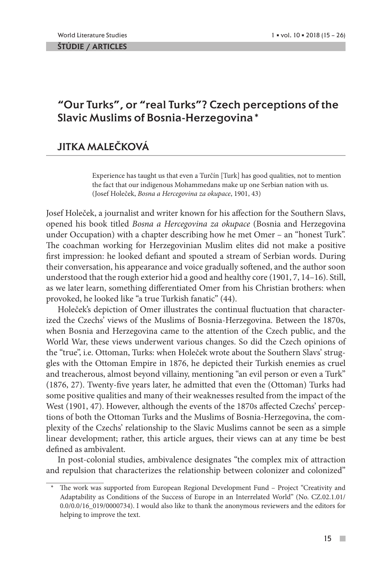ŠTÚDIE / ARTICLES

## "Our Turks", or "real Turks"? Czech perceptions of the Slavic Muslims of Bosnia-Herzegovina\*

# JITKA MALEČKOVÁ

Experience has taught us that even a Turčín [Turk] has good qualities, not to mention the fact that our indigenous Mohammedans make up one Serbian nation with us. (Josef Holeček, *Bosna a Hercegovina za okupace*, 1901, 43)

Josef Holeček, a journalist and writer known for his affection for the Southern Slavs, opened his book titled *Bosna a Hercegovina za okupace* (Bosnia and Herzegovina under Occupation) with a chapter describing how he met Omer – an "honest Turk". The coachman working for Herzegovinian Muslim elites did not make a positive first impression: he looked defiant and spouted a stream of Serbian words. During their conversation, his appearance and voice gradually softened, and the author soon understood that the rough exterior hid a good and healthy core (1901, 7, 14–16). Still, as we later learn, something differentiated Omer from his Christian brothers: when provoked, he looked like "a true Turkish fanatic" (44).

Holeček's depiction of Omer illustrates the continual fluctuation that characterized the Czechs' views of the Muslims of Bosnia-Herzegovina. Between the 1870s, when Bosnia and Herzegovina came to the attention of the Czech public, and the World War, these views underwent various changes. So did the Czech opinions of the "true", i.e. Ottoman, Turks: when Holeček wrote about the Southern Slavs' struggles with the Ottoman Empire in 1876, he depicted their Turkish enemies as cruel and treacherous, almost beyond villainy, mentioning "an evil person or even a Turk" (1876, 27). Twenty-five years later, he admitted that even the (Ottoman) Turks had some positive qualities and many of their weaknesses resulted from the impact of the West (1901, 47). However, although the events of the 1870s affected Czechs' perceptions of both the Ottoman Turks and the Muslims of Bosnia-Herzegovina, the complexity of the Czechs' relationship to the Slavic Muslims cannot be seen as a simple linear development; rather, this article argues, their views can at any time be best defined as ambivalent.

In post-colonial studies, ambivalence designates "the complex mix of attraction and repulsion that characterizes the relationship between colonizer and colonized"

The work was supported from European Regional Development Fund – Project "Creativity and Adaptability as Conditions of the Success of Europe in an Interrelated World" (No. CZ.02.1.01/ 0.0/0.0/16\_019/0000734). I would also like to thank the anonymous reviewers and the editors for helping to improve the text.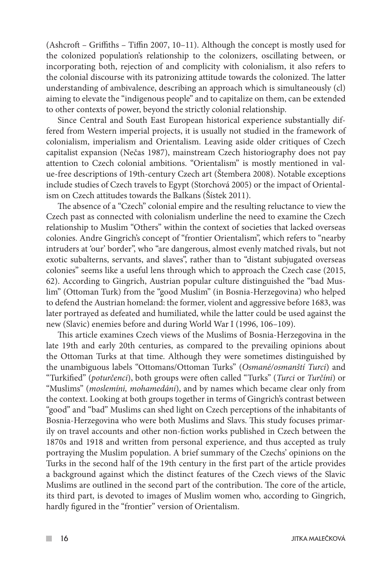(Ashcroft – Griffiths – Tiffin 2007, 10–11). Although the concept is mostly used for the colonized population's relationship to the colonizers, oscillating between, or incorporating both, rejection of and complicity with colonialism, it also refers to the colonial discourse with its patronizing attitude towards the colonized. The latter understanding of ambivalence, describing an approach which is simultaneously (cl) aiming to elevate the "indigenous people" and to capitalize on them, can be extended to other contexts of power, beyond the strictly colonial relationship.

Since Central and South East European historical experience substantially differed from Western imperial projects, it is usually not studied in the framework of colonialism, imperialism and Orientalism. Leaving aside older critiques of Czech capitalist expansion (Nečas 1987), mainstream Czech historiography does not pay attention to Czech colonial ambitions. "Orientalism" is mostly mentioned in value-free descriptions of 19th-century Czech art (Štembera 2008). Notable exceptions include studies of Czech travels to Egypt (Storchová 2005) or the impact of Orientalism on Czech attitudes towards the Balkans (Šístek 2011).

The absence of a "Czech" colonial empire and the resulting reluctance to view the Czech past as connected with colonialism underline the need to examine the Czech relationship to Muslim "Others" within the context of societies that lacked overseas colonies. Andre Gingrich's concept of "frontier Orientalism", which refers to "nearby intruders at 'our' border", who "are dangerous, almost evenly matched rivals, but not exotic subalterns, servants, and slaves", rather than to "distant subjugated overseas colonies" seems like a useful lens through which to approach the Czech case (2015, 62). According to Gingrich, Austrian popular culture distinguished the "bad Muslim" (Ottoman Turk) from the "good Muslim" (in Bosnia-Herzegovina) who helped to defend the Austrian homeland: the former, violent and aggressive before 1683, was later portrayed as defeated and humiliated, while the latter could be used against the new (Slavic) enemies before and during World War I (1996, 106–109).

This article examines Czech views of the Muslims of Bosnia-Herzegovina in the late 19th and early 20th centuries, as compared to the prevailing opinions about the Ottoman Turks at that time. Although they were sometimes distinguished by the unambiguous labels "Ottomans/Ottoman Turks" (*Osmané/osmanští Turci*) and "Turkified" (*poturčenci*), both groups were often called "Turks" (*Turci* or *Turčíni*) or "Muslims" (*moslemíni, mohamedáni*), and by names which became clear only from the context. Looking at both groups together in terms of Gingrich's contrast between "good" and "bad" Muslims can shed light on Czech perceptions of the inhabitants of Bosnia-Herzegovina who were both Muslims and Slavs. This study focuses primarily on travel accounts and other non-fiction works published in Czech between the 1870s and 1918 and written from personal experience, and thus accepted as truly portraying the Muslim population. A brief summary of the Czechs' opinions on the Turks in the second half of the 19th century in the first part of the article provides a background against which the distinct features of the Czech views of the Slavic Muslims are outlined in the second part of the contribution. The core of the article, its third part, is devoted to images of Muslim women who, according to Gingrich, hardly figured in the "frontier" version of Orientalism.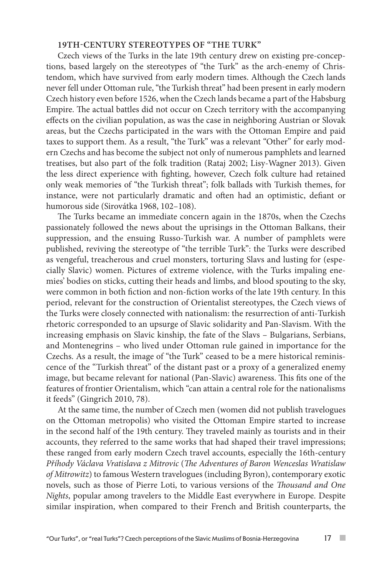### **19TH-CENTURY STEREOTYPES OF "THE TURK"**

Czech views of the Turks in the late 19th century drew on existing pre-conceptions, based largely on the stereotypes of "the Turk" as the arch-enemy of Christendom, which have survived from early modern times. Although the Czech lands never fell under Ottoman rule, "the Turkish threat" had been present in early modern Czech history even before 1526, when the Czech lands became a part of the Habsburg Empire. The actual battles did not occur on Czech territory with the accompanying effects on the civilian population, as was the case in neighboring Austrian or Slovak areas, but the Czechs participated in the wars with the Ottoman Empire and paid taxes to support them. As a result, "the Turk" was a relevant "Other" for early modern Czechs and has become the subject not only of numerous pamphlets and learned treatises, but also part of the folk tradition (Rataj 2002; Lisy-Wagner 2013). Given the less direct experience with fighting, however, Czech folk culture had retained only weak memories of "the Turkish threat"; folk ballads with Turkish themes, for instance, were not particularly dramatic and often had an optimistic, defiant or humorous side (Sirovátka 1968, 102–108).

The Turks became an immediate concern again in the 1870s, when the Czechs passionately followed the news about the uprisings in the Ottoman Balkans, their suppression, and the ensuing Russo-Turkish war. A number of pamphlets were published, reviving the stereotype of "the terrible Turk": the Turks were described as vengeful, treacherous and cruel monsters, torturing Slavs and lusting for (especially Slavic) women. Pictures of extreme violence, with the Turks impaling enemies' bodies on sticks, cutting their heads and limbs, and blood spouting to the sky, were common in both fiction and non-fiction works of the late 19th century. In this period, relevant for the construction of Orientalist stereotypes, the Czech views of the Turks were closely connected with nationalism: the resurrection of anti-Turkish rhetoric corresponded to an upsurge of Slavic solidarity and Pan-Slavism. With the increasing emphasis on Slavic kinship, the fate of the Slavs – Bulgarians, Serbians, and Montenegrins – who lived under Ottoman rule gained in importance for the Czechs. As a result, the image of "the Turk" ceased to be a mere historical reminiscence of the "Turkish threat" of the distant past or a proxy of a generalized enemy image, but became relevant for national (Pan-Slavic) awareness. This fits one of the features of frontier Orientalism, which "can attain a central role for the nationalisms it feeds" (Gingrich 2010, 78).

At the same time, the number of Czech men (women did not publish travelogues on the Ottoman metropolis) who visited the Ottoman Empire started to increase in the second half of the 19th century. They traveled mainly as tourists and in their accounts, they referred to the same works that had shaped their travel impressions; these ranged from early modern Czech travel accounts, especially the 16th-century *Příhody Václava Vratislava z Mitrovic* (*The Adventures of Baron Wenceslas Wratislaw of Mitrowitz*) to famous Western travelogues (including Byron), contemporary exotic novels, such as those of Pierre Loti, to various versions of the *Thousand and One Nights*, popular among travelers to the Middle East everywhere in Europe. Despite similar inspiration, when compared to their French and British counterparts, the

**COL**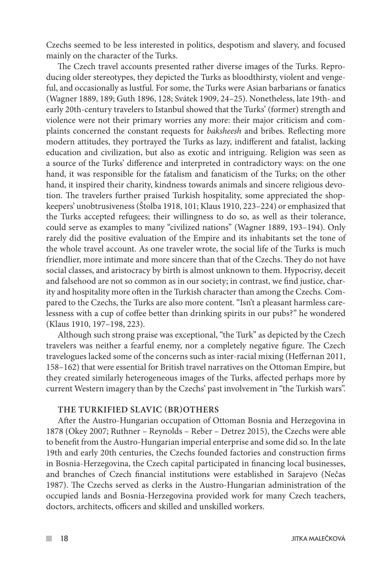Czechs seemed to be less interested in politics, despotism and slavery, and focused mainly on the character of the Turks.

The Czech travel accounts presented rather diverse images of the Turks. Reproducing older stereotypes, they depicted the Turks as bloodthirsty, violent and vengeful, and occasionally as lustful. For some, the Turks were Asian barbarians or fanatics (Wagner 1889, 189; Guth 1896, 128; Svátek 1909, 24–25). Nonetheless, late 19th- and early 20th-century travelers to Istanbul showed that the Turks' (former) strength and violence were not their primary worries any more: their major criticism and complaints concerned the constant requests for *baksheesh* and bribes. Reflecting more modern attitudes, they portrayed the Turks as lazy, indifferent and fatalist, lacking education and civilization, but also as exotic and intriguing. Religion was seen as a source of the Turks' difference and interpreted in contradictory ways: on the one hand, it was responsible for the fatalism and fanaticism of the Turks; on the other hand, it inspired their charity, kindness towards animals and sincere religious devotion. The travelers further praised Turkish hospitality, some appreciated the shopkeepers' unobtrusiveness (Štolba 1918, 101; Klaus 1910, 223–224) or emphasized that the Turks accepted refugees; their willingness to do so, as well as their tolerance, could serve as examples to many "civilized nations" (Wagner 1889, 193–194). Only rarely did the positive evaluation of the Empire and its inhabitants set the tone of the whole travel account. As one traveler wrote, the social life of the Turks is much friendlier, more intimate and more sincere than that of the Czechs. They do not have social classes, and aristocracy by birth is almost unknown to them. Hypocrisy, deceit and falsehood are not so common as in our society; in contrast, we find justice, charity and hospitality more often in the Turkish character than among the Czechs. Compared to the Czechs, the Turks are also more content. "Isn't a pleasant harmless carelessness with a cup of coffee better than drinking spirits in our pubs?" he wondered (Klaus 1910, 197–198, 223).

Although such strong praise was exceptional, "the Turk" as depicted by the Czech travelers was neither a fearful enemy, nor a completely negative figure. The Czech travelogues lacked some of the concerns such as inter-racial mixing (Heffernan 2011, 158–162) that were essential for British travel narratives on the Ottoman Empire, but they created similarly heterogeneous images of the Turks, affected perhaps more by current Western imagery than by the Czechs' past involvement in "the Turkish wars".

#### **THE TURKIFIED SLAVIC (BR)OTHERS**

After the Austro-Hungarian occupation of Ottoman Bosnia and Herzegovina in 1878 (Okey 2007; Ruthner – Reynolds – Reber – Detrez 2015), the Czechs were able to benefit from the Austro-Hungarian imperial enterprise and some did so. In the late 19th and early 20th centuries, the Czechs founded factories and construction firms in Bosnia-Herzegovina, the Czech capital participated in financing local businesses, and branches of Czech financial institutions were established in Sarajevo (Nečas 1987). The Czechs served as clerks in the Austro-Hungarian administration of the occupied lands and Bosnia-Herzegovina provided work for many Czech teachers, doctors, architects, officers and skilled and unskilled workers.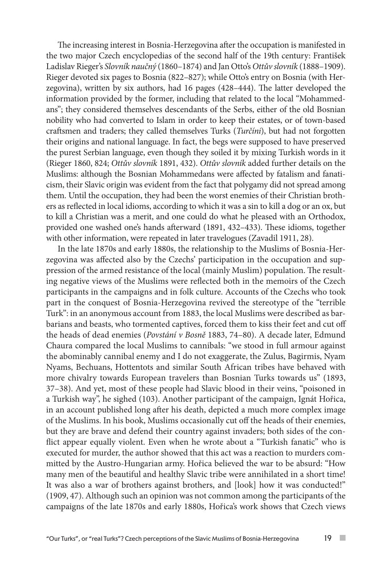The increasing interest in Bosnia-Herzegovina after the occupation is manifested in the two major Czech encyclopedias of the second half of the 19th century: František Ladislav Rieger's *Slovník naučný* (1860–1874) and Jan Otto's *Ottův slovník* (1888–1909). Rieger devoted six pages to Bosnia (822–827); while Otto's entry on Bosnia (with Herzegovina), written by six authors, had 16 pages (428–444). The latter developed the information provided by the former, including that related to the local "Mohammedans"; they considered themselves descendants of the Serbs, either of the old Bosnian nobility who had converted to Islam in order to keep their estates, or of town-based craftsmen and traders; they called themselves Turks (*Turčíni*), but had not forgotten their origins and national language. In fact, the begs were supposed to have preserved the purest Serbian language, even though they soiled it by mixing Turkish words in it (Rieger 1860, 824; *Ottův slovník* 1891, 432). *Ottův slovník* added further details on the Muslims: although the Bosnian Mohammedans were affected by fatalism and fanaticism, their Slavic origin was evident from the fact that polygamy did not spread among them. Until the occupation, they had been the worst enemies of their Christian brothers as reflected in local idioms, according to which it was a sin to kill a dog or an ox, but to kill a Christian was a merit, and one could do what he pleased with an Orthodox, provided one washed one's hands afterward (1891, 432–433). These idioms, together with other information, were repeated in later travelogues (Zavadil 1911, 28).

In the late 1870s and early 1880s, the relationship to the Muslims of Bosnia-Herzegovina was affected also by the Czechs' participation in the occupation and suppression of the armed resistance of the local (mainly Muslim) population. The resulting negative views of the Muslims were reflected both in the memoirs of the Czech participants in the campaigns and in folk culture. Accounts of the Czechs who took part in the conquest of Bosnia-Herzegovina revived the stereotype of the "terrible Turk": in an anonymous account from 1883, the local Muslims were described as barbarians and beasts, who tormented captives, forced them to kiss their feet and cut off the heads of dead enemies (*Povstání v Bosně* 1883, 74–80). A decade later, Edmund Chaura compared the local Muslims to cannibals: "we stood in full armour against the abominably cannibal enemy and I do not exaggerate, the Zulus, Bagirmis, Nyam Nyams, Bechuans, Hottentots and similar South African tribes have behaved with more chivalry towards European travelers than Bosnian Turks towards us" (1893, 37–38). And yet, most of these people had Slavic blood in their veins, "poisoned in a Turkish way", he sighed (103). Another participant of the campaign, Ignát Hořica, in an account published long after his death, depicted a much more complex image of the Muslims. In his book, Muslims occasionally cut off the heads of their enemies, but they are brave and defend their country against invaders; both sides of the conflict appear equally violent. Even when he wrote about a "Turkish fanatic" who is executed for murder, the author showed that this act was a reaction to murders committed by the Austro-Hungarian army. Hořica believed the war to be absurd: "How many men of the beautiful and healthy Slavic tribe were annihilated in a short time! It was also a war of brothers against brothers, and [look] how it was conducted!" (1909, 47). Although such an opinion was not common among the participants of the campaigns of the late 1870s and early 1880s, Hořica's work shows that Czech views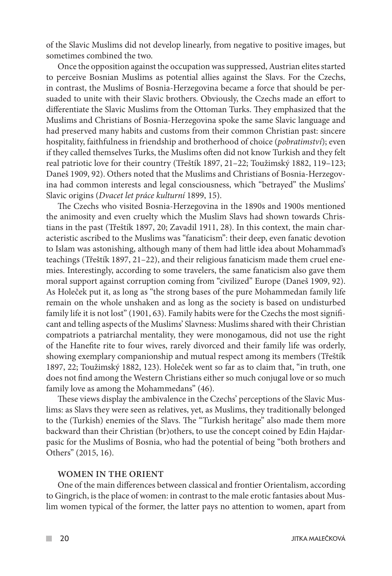of the Slavic Muslims did not develop linearly, from negative to positive images, but sometimes combined the two.

Once the opposition against the occupation was suppressed, Austrian elites started to perceive Bosnian Muslims as potential allies against the Slavs. For the Czechs, in contrast, the Muslims of Bosnia-Herzegovina became a force that should be persuaded to unite with their Slavic brothers. Obviously, the Czechs made an effort to differentiate the Slavic Muslims from the Ottoman Turks. They emphasized that the Muslims and Christians of Bosnia-Herzegovina spoke the same Slavic language and had preserved many habits and customs from their common Christian past: sincere hospitality, faithfulness in friendship and brotherhood of choice (*pobratimství*); even if they called themselves Turks, the Muslims often did not know Turkish and they felt real patriotic love for their country (Třeštík 1897, 21–22; Toužimský 1882, 119–123; Daneš 1909, 92). Others noted that the Muslims and Christians of Bosnia-Herzegovina had common interests and legal consciousness, which "betrayed" the Muslims' Slavic origins (*Dvacet let práce kulturní* 1899, 15).

The Czechs who visited Bosnia-Herzegovina in the 1890s and 1900s mentioned the animosity and even cruelty which the Muslim Slavs had shown towards Christians in the past (Třeštík 1897, 20; Zavadil 1911, 28). In this context, the main characteristic ascribed to the Muslims was "fanaticism": their deep, even fanatic devotion to Islam was astonishing, although many of them had little idea about Mohammad's teachings (Třeštík 1897, 21–22), and their religious fanaticism made them cruel enemies. Interestingly, according to some travelers, the same fanaticism also gave them moral support against corruption coming from "civilized" Europe (Daneš 1909, 92). As Holeček put it, as long as "the strong bases of the pure Mohammedan family life remain on the whole unshaken and as long as the society is based on undisturbed family life it is not lost" (1901, 63). Family habits were for the Czechs the most significant and telling aspects of the Muslims' Slavness: Muslims shared with their Christian compatriots a patriarchal mentality, they were monogamous, did not use the right of the Hanefite rite to four wives, rarely divorced and their family life was orderly, showing exemplary companionship and mutual respect among its members (Třeštík 1897, 22; Toužimský 1882, 123). Holeček went so far as to claim that, "in truth, one does not find among the Western Christians either so much conjugal love or so much family love as among the Mohammedans" (46).

These views display the ambivalence in the Czechs' perceptions of the Slavic Muslims: as Slavs they were seen as relatives, yet, as Muslims, they traditionally belonged to the (Turkish) enemies of the Slavs. The "Turkish heritage" also made them more backward than their Christian (br)others, to use the concept coined by Edin Hajdarpasic for the Muslims of Bosnia, who had the potential of being "both brothers and Others" (2015, 16).

#### **WOMEN IN THE ORIENT**

One of the main differences between classical and frontier Orientalism, according to Gingrich, is the place of women: in contrast to the male erotic fantasies about Muslim women typical of the former, the latter pays no attention to women, apart from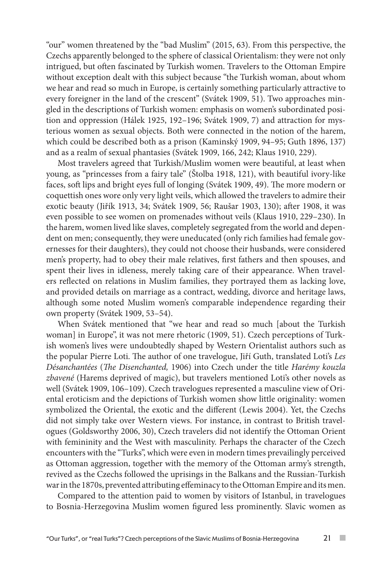"our" women threatened by the "bad Muslim" (2015, 63). From this perspective, the Czechs apparently belonged to the sphere of classical Orientalism: they were not only intrigued, but often fascinated by Turkish women. Travelers to the Ottoman Empire without exception dealt with this subject because "the Turkish woman, about whom we hear and read so much in Europe, is certainly something particularly attractive to every foreigner in the land of the crescent" (Svátek 1909, 51). Two approaches mingled in the descriptions of Turkish women: emphasis on women's subordinated position and oppression (Hálek 1925, 192–196; Svátek 1909, 7) and attraction for mysterious women as sexual objects. Both were connected in the notion of the harem, which could be described both as a prison (Kaminský 1909, 94–95; Guth 1896, 137) and as a realm of sexual phantasies (Svátek 1909, 166, 242; Klaus 1910, 229).

Most travelers agreed that Turkish/Muslim women were beautiful, at least when young, as "princesses from a fairy tale" (Štolba 1918, 121), with beautiful ivory-like faces, soft lips and bright eyes full of longing (Svátek 1909, 49). The more modern or coquettish ones wore only very light veils, which allowed the travelers to admire their exotic beauty (Jiřík 1913, 34; Svátek 1909, 56; Raušar 1903, 130); after 1908, it was even possible to see women on promenades without veils (Klaus 1910, 229–230). In the harem, women lived like slaves, completely segregated from the world and dependent on men; consequently, they were uneducated (only rich families had female governesses for their daughters), they could not choose their husbands, were considered men's property, had to obey their male relatives, first fathers and then spouses, and spent their lives in idleness, merely taking care of their appearance. When travelers reflected on relations in Muslim families, they portrayed them as lacking love, and provided details on marriage as a contract, wedding, divorce and heritage laws, although some noted Muslim women's comparable independence regarding their own property (Svátek 1909, 53–54).

When Svátek mentioned that "we hear and read so much [about the Turkish woman] in Europe", it was not mere rhetoric (1909, 51). Czech perceptions of Turkish women's lives were undoubtedly shaped by Western Orientalist authors such as the popular Pierre Loti. The author of one travelogue, Jiří Guth, translated Loti's *Les Désanchantées* (*The Disenchanted,* 1906) into Czech under the title *Harémy kouzla zbavené* (Harems deprived of magic), but travelers mentioned Loti's other novels as well (Svátek 1909, 106–109). Czech travelogues represented a masculine view of Oriental eroticism and the depictions of Turkish women show little originality: women symbolized the Oriental, the exotic and the different (Lewis 2004). Yet, the Czechs did not simply take over Western views. For instance, in contrast to British travelogues (Goldsworthy 2006, 30), Czech travelers did not identify the Ottoman Orient with femininity and the West with masculinity. Perhaps the character of the Czech encounters with the "Turks", which were even in modern times prevailingly perceived as Ottoman aggression, together with the memory of the Ottoman army's strength, revived as the Czechs followed the uprisings in the Balkans and the Russian-Turkish war in the 1870s, prevented attributing effeminacy to the Ottoman Empire and its men.

Compared to the attention paid to women by visitors of Istanbul, in travelogues to Bosnia-Herzegovina Muslim women figured less prominently. Slavic women as

 $\mathcal{C}^{\mathcal{A}}$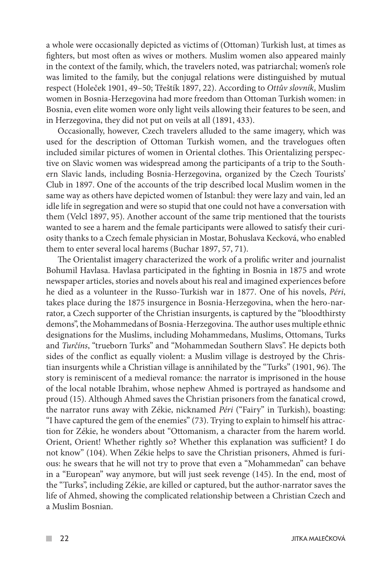a whole were occasionally depicted as victims of (Ottoman) Turkish lust, at times as fighters, but most often as wives or mothers. Muslim women also appeared mainly in the context of the family, which, the travelers noted, was patriarchal; women's role was limited to the family, but the conjugal relations were distinguished by mutual respect (Holeček 1901, 49–50; Třeštík 1897, 22). According to *Ottův slovník*, Muslim women in Bosnia-Herzegovina had more freedom than Ottoman Turkish women: in Bosnia, even elite women wore only light veils allowing their features to be seen, and in Herzegovina, they did not put on veils at all (1891, 433).

Occasionally, however, Czech travelers alluded to the same imagery, which was used for the description of Ottoman Turkish women, and the travelogues often included similar pictures of women in Oriental clothes. This Orientalizing perspective on Slavic women was widespread among the participants of a trip to the Southern Slavic lands, including Bosnia-Herzegovina, organized by the Czech Tourists' Club in 1897. One of the accounts of the trip described local Muslim women in the same way as others have depicted women of Istanbul: they were lazy and vain, led an idle life in segregation and were so stupid that one could not have a conversation with them (Velcl 1897, 95). Another account of the same trip mentioned that the tourists wanted to see a harem and the female participants were allowed to satisfy their curiosity thanks to a Czech female physician in Mostar, Bohuslava Kecková, who enabled them to enter several local harems (Buchar 1897, 57, 71).

The Orientalist imagery characterized the work of a prolific writer and journalist Bohumil Havlasa. Havlasa participated in the fighting in Bosnia in 1875 and wrote newspaper articles, stories and novels about his real and imagined experiences before he died as a volunteer in the Russo-Turkish war in 1877. One of his novels, *Péri*, takes place during the 1875 insurgence in Bosnia-Herzegovina, when the hero-narrator, a Czech supporter of the Christian insurgents, is captured by the "bloodthirsty demons", the Mohammedans of Bosnia-Herzegovina. The author uses multiple ethnic designations for the Muslims, including Mohammedans, Muslims, Ottomans, Turks and *Turčíns*, "trueborn Turks" and "Mohammedan Southern Slavs". He depicts both sides of the conflict as equally violent: a Muslim village is destroyed by the Christian insurgents while a Christian village is annihilated by the "Turks" (1901, 96). The story is reminiscent of a medieval romance: the narrator is imprisoned in the house of the local notable Ibrahim, whose nephew Ahmed is portrayed as handsome and proud (15). Although Ahmed saves the Christian prisoners from the fanatical crowd, the narrator runs away with Zékie, nicknamed *Péri* ("Fairy" in Turkish), boasting: "I have captured the gem of the enemies" (73). Trying to explain to himself his attraction for Zékie, he wonders about "Ottomanism, a character from the harem world. Orient, Orient! Whether rightly so? Whether this explanation was sufficient? I do not know" (104). When Zékie helps to save the Christian prisoners, Ahmed is furious: he swears that he will not try to prove that even a "Mohammedan" can behave in a "European" way anymore, but will just seek revenge (145). In the end, most of the "Turks", including Zékie, are killed or captured, but the author-narrator saves the life of Ahmed, showing the complicated relationship between a Christian Czech and a Muslim Bosnian.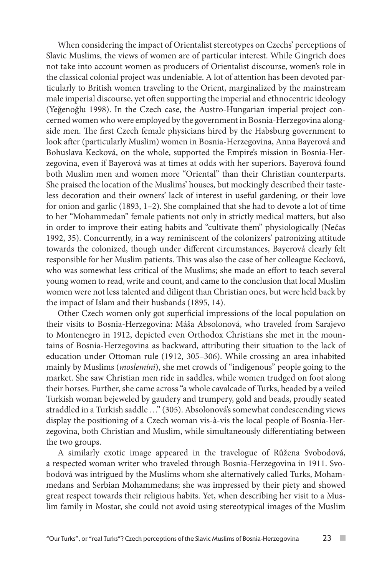When considering the impact of Orientalist stereotypes on Czechs' perceptions of Slavic Muslims, the views of women are of particular interest. While Gingrich does not take into account women as producers of Orientalist discourse, women's role in the classical colonial project was undeniable. A lot of attention has been devoted particularly to British women traveling to the Orient, marginalized by the mainstream male imperial discourse, yet often supporting the imperial and ethnocentric ideology (Yeğenoğlu 1998). In the Czech case, the Austro-Hungarian imperial project concerned women who were employed by the government in Bosnia-Herzegovina alongside men. The first Czech female physicians hired by the Habsburg government to look after (particularly Muslim) women in Bosnia-Herzegovina, Anna Bayerová and Bohuslava Kecková, on the whole, supported the Empire's mission in Bosnia-Herzegovina, even if Bayerová was at times at odds with her superiors. Bayerová found both Muslim men and women more "Oriental" than their Christian counterparts. She praised the location of the Muslims' houses, but mockingly described their tasteless decoration and their owners' lack of interest in useful gardening, or their love for onion and garlic (1893, 1–2). She complained that she had to devote a lot of time to her "Mohammedan" female patients not only in strictly medical matters, but also in order to improve their eating habits and "cultivate them" physiologically (Nečas 1992, 35). Concurrently, in a way reminiscent of the colonizers' patronizing attitude towards the colonized, though under different circumstances, Bayerová clearly felt responsible for her Muslim patients. This was also the case of her colleague Kecková, who was somewhat less critical of the Muslims; she made an effort to teach several young women to read, write and count, and came to the conclusion that local Muslim women were not less talented and diligent than Christian ones, but were held back by the impact of Islam and their husbands (1895, 14).

Other Czech women only got superficial impressions of the local population on their visits to Bosnia-Herzegovina: Máša Absolonová, who traveled from Sarajevo to Montenegro in 1912, depicted even Orthodox Christians she met in the mountains of Bosnia-Herzegovina as backward, attributing their situation to the lack of education under Ottoman rule (1912, 305–306). While crossing an area inhabited mainly by Muslims (*moslemíni*), she met crowds of "indigenous" people going to the market. She saw Christian men ride in saddles, while women trudged on foot along their horses. Further, she came across "a whole cavalcade of Turks, headed by a veiled Turkish woman bejeweled by gaudery and trumpery, gold and beads, proudly seated straddled in a Turkish saddle …" (305). Absolonová's somewhat condescending views display the positioning of a Czech woman vis-à-vis the local people of Bosnia-Herzegovina, both Christian and Muslim, while simultaneously differentiating between the two groups.

A similarly exotic image appeared in the travelogue of Růžena Svobodová, a respected woman writer who traveled through Bosnia-Herzegovina in 1911. Svobodová was intrigued by the Muslims whom she alternatively called Turks, Mohammedans and Serbian Mohammedans; she was impressed by their piety and showed great respect towards their religious habits. Yet, when describing her visit to a Muslim family in Mostar, she could not avoid using stereotypical images of the Muslim

**College**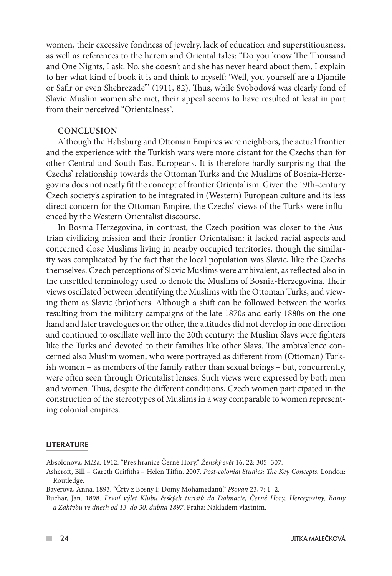women, their excessive fondness of jewelry, lack of education and superstitiousness, as well as references to the harem and Oriental tales: "Do you know The Thousand and One Nights, I ask. No, she doesn't and she has never heard about them. I explain to her what kind of book it is and think to myself: 'Well, you yourself are a Djamile or Safir or even Shehrezade'" (1911, 82). Thus, while Svobodová was clearly fond of Slavic Muslim women she met, their appeal seems to have resulted at least in part from their perceived "Orientalness".

#### **CONCLUSION**

Although the Habsburg and Ottoman Empires were neighbors, the actual frontier and the experience with the Turkish wars were more distant for the Czechs than for other Central and South East Europeans. It is therefore hardly surprising that the Czechs' relationship towards the Ottoman Turks and the Muslims of Bosnia-Herzegovina does not neatly fit the concept of frontier Orientalism. Given the 19th-century Czech society's aspiration to be integrated in (Western) European culture and its less direct concern for the Ottoman Empire, the Czechs' views of the Turks were influenced by the Western Orientalist discourse.

In Bosnia-Herzegovina, in contrast, the Czech position was closer to the Austrian civilizing mission and their frontier Orientalism: it lacked racial aspects and concerned close Muslims living in nearby occupied territories, though the similarity was complicated by the fact that the local population was Slavic, like the Czechs themselves. Czech perceptions of Slavic Muslims were ambivalent, as reflected also in the unsettled terminology used to denote the Muslims of Bosnia-Herzegovina. Their views oscillated between identifying the Muslims with the Ottoman Turks, and viewing them as Slavic (br)others. Although a shift can be followed between the works resulting from the military campaigns of the late 1870s and early 1880s on the one hand and later travelogues on the other, the attitudes did not develop in one direction and continued to oscillate well into the 20th century: the Muslim Slavs were fighters like the Turks and devoted to their families like other Slavs. The ambivalence concerned also Muslim women, who were portrayed as different from (Ottoman) Turkish women – as members of the family rather than sexual beings – but, concurrently, were often seen through Orientalist lenses. Such views were expressed by both men and women. Thus, despite the different conditions, Czech women participated in the construction of the stereotypes of Muslims in a way comparable to women representing colonial empires.

#### LITERATURE

Absolonová, Máša. 1912. "Přes hranice Černé Hory." *Ženský svět* 16, 22: 305–307.

Ashcroft, Bill – Gareth Griffiths – Helen Tiffin. 2007. *Post-colonial Studies: The Key Concepts.* London: Routledge.

Bayerová, Anna. 1893. "Črty z Bosny I: Domy Mohamedánů." *Pšovan* 23, 7: 1–2.

Buchar, Jan. 1898. *První výlet Klubu českých turistů do Dalmacie, Černé Hory, Hercegoviny, Bosny a Záhřebu ve dnech od 13. do 30. dubna 1897*. Praha: Nákladem vlastním.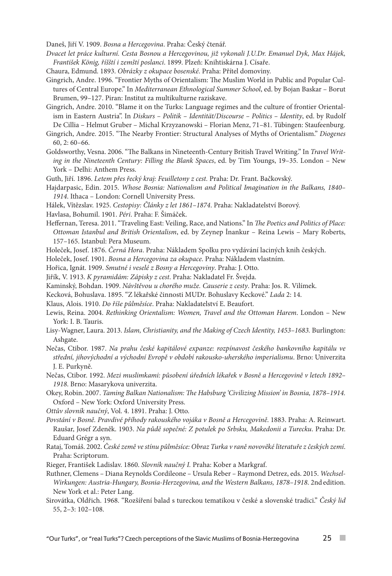Daneš, Jiří V. 1909. *Bosna a Hercegovina*. Praha: Český čtenář.

- *Dvacet let práce kulturní. Cesta Bosnou a Hercegovinou, již vykonali J.U.Dr. Emanuel Dyk, Max Hájek, František König, říšští i zemští poslanci*. 1899. Plzeň: Knihtiskárna J. Císaře.
- Chaura, Edmund. 1893. *Obrázky z okupace bosenské*. Praha: Přítel domoviny.
- Gingrich, Andre. 1996. "Frontier Myths of Orientalism: The Muslim World in Public and Popular Cultures of Central Europe." In *Mediterranean Ethnological Summer School*, ed. by Bojan Baskar – Borut Brumen, 99–127. Piran: Institut za multikulturne raziskave.
- Gingrich, Andre. 2010. "Blame it on the Turks: Language regimes and the culture of frontier Orientalism in Eastern Austria". In *Diskurs – Politik – Identität/Discourse – Politics – Identity*, ed. by Rudolf De Cillia – Helmut Gruber – Michal Krzyzanowski – Florian Menz, 71–81. Tübingen: Staufeenburg.

Gingrich, Andre. 2015. "The Nearby Frontier: Structural Analyses of Myths of Orientalism." *Diogenes* 60, 2: 60–66.

Goldsworthy, Vesna. 2006. "The Balkans in Nineteenth-Century British Travel Writing." In *Travel Writing in the Nineteenth Century: Filling the Blank Spaces*, ed. by Tim Youngs, 19–35. London – New York – Delhi: Anthem Press.

Guth, Jiří. 1896. *Letem přes řecký kraj: Feuilletony z cest.* Praha: Dr. Frant. Bačkovský.

- Hajdarpasic, Edin. 2015. *Whose Bosnia: Nationalism and Political Imagination in the Balkans, 1840– 1914*. Ithaca – London: Cornell University Press.
- Hálek, Vítězslav. 1925. *Cestopisy: Články z let 1861–1874*. Praha: Nakladatelství Borový.

Havlasa, Bohumil. 1901. *Péri*. Praha: F. Šimáček.

- Heffernan, Teresa. 2011. "Traveling East: Veiling, Race, and Nations." In *The Poetics and Politics of Place: Ottoman Istanbul and British Orientalism*, ed. by Zeynep İnankur – Reina Lewis – Mary Roberts, 157–165. Istanbul: Pera Museum.
- Holeček, Josef. 1876. *Černá Hora*. Praha: Nákladem Spolku pro vydávání laciných knih českých.
- Holeček, Josef. 1901. *Bosna a Hercegovina za okupace*. Praha: Nákladem vlastním.
- Hořica, Ignát. 1909. *Smutné i veselé z Bosny a Hercegoviny*. Praha: J. Otto.
- Jiřík, V. 1913. *K pyramidám: Zápisky z cest*. Praha: Nakladatel Fr. Švejda.
- Kaminský, Bohdan. 1909. *Návštěvou u chorého muže. Causerie z cesty*. Praha: Jos. R. Vilímek.
- Kecková, Bohuslava. 1895. "Z lékařské činnosti MUDr. Bohuslavy Keckové." *Lada* 2: 14.
- Klaus, Alois. 1910. *Do říše půlměsíce*. Praha: Nakladatelství E. Beaufort.
- Lewis, Reina. 2004. *Rethinking Orientalism: Women, Travel and the Ottoman Harem*. London New York: I. B. Tauris.
- Lisy-Wagner, Laura. 2013. *Islam, Christianity, and the Making of Czech Identity, 1453–1683.* Burlington: Ashgate.
- Nečas, Ctibor. 1987. *Na prahu české kapitálové expanze: rozpínavost českého bankovního kapitálu ve střední, jihovýchodní a východní Evropě v období rakousko-uherského imperialismu*. Brno: Univerzita J. E. Purkyně.
- Nečas, Ctibor. 1992. *Mezi muslimkami: působení úředních lékařek v Bosně a Hercegovině v letech 1892– 1918*. Brno: Masarykova univerzita.
- Okey, Robin. 2007. *Taming Balkan Nationalism: The Habsburg 'Civilizing Mission' in Bosnia, 1878–1914.*  Oxford – New York: Oxford University Press.
- *Ottův slovník naučný*, Vol. 4. 1891. Praha: J. Otto.
- *Povstání v Bosně. Pravdivé příhody rakouského vojáka v Bosně a Hercegovině*. 1883. Praha: A. Reinwart. Raušar, Josef Zdeněk. 1903. *Na půdě sopečné: Z potulek po Srbsku, Makedonii a Turecku*. Praha: Dr. Eduard Grégr a syn.
- Rataj, Tomáš. 2002. *České země ve stínu půlměsíce: Obraz Turka v raně novověké literatuře z českých zemí*. Praha: Scriptorum.
- Rieger, František Ladislav. 1860. *Slovník naučný I.* Praha: Kober a Markgraf.
- Ruthner, Clemens *–* Diana Reynolds Cordileone *–* Ursula Reber *–* Raymond Detrez, eds. 2015. *Wechsel-Wirkungen: Austria-Hungary, Bosnia-Herzegovina, and the Western Balkans, 1878–1918*. 2ndedition. New York et al.: Peter Lang.
- Sirovátka, Oldřich. 1968. "Rozšíření balad s tureckou tematikou v české a slovenské tradici." *Český lid* 55, 2–3: 102–108.